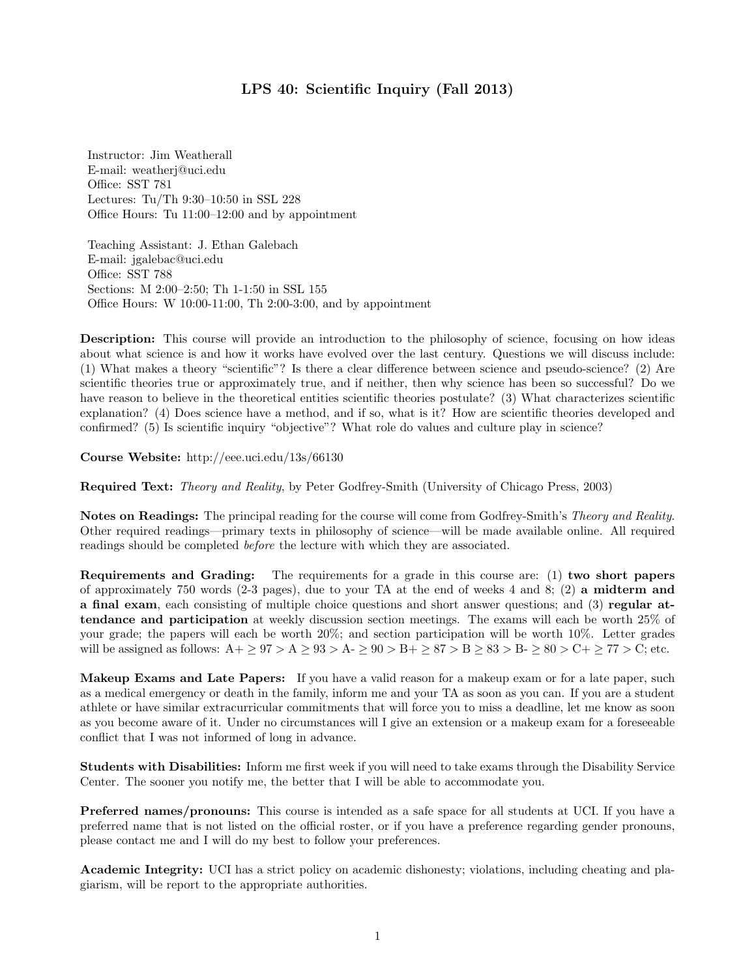## LPS 40: Scientific Inquiry (Fall 2013)

Instructor: Jim Weatherall E-mail: weatherj@uci.edu Office: SST 781 Lectures: Tu/Th 9:30–10:50 in SSL 228 Office Hours: Tu 11:00–12:00 and by appointment

Teaching Assistant: J. Ethan Galebach E-mail: jgalebac@uci.edu Office: SST 788 Sections: M 2:00–2:50; Th 1-1:50 in SSL 155 Office Hours: W 10:00-11:00, Th 2:00-3:00, and by appointment

Description: This course will provide an introduction to the philosophy of science, focusing on how ideas about what science is and how it works have evolved over the last century. Questions we will discuss include: (1) What makes a theory "scientific"? Is there a clear difference between science and pseudo-science? (2) Are scientific theories true or approximately true, and if neither, then why science has been so successful? Do we have reason to believe in the theoretical entities scientific theories postulate? (3) What characterizes scientific explanation? (4) Does science have a method, and if so, what is it? How are scientific theories developed and confirmed? (5) Is scientific inquiry "objective"? What role do values and culture play in science?

Course Website: http://eee.uci.edu/13s/66130

Required Text: Theory and Reality, by Peter Godfrey-Smith (University of Chicago Press, 2003)

Notes on Readings: The principal reading for the course will come from Godfrey-Smith's Theory and Reality. Other required readings—primary texts in philosophy of science—will be made available online. All required readings should be completed before the lecture with which they are associated.

Requirements and Grading: The requirements for a grade in this course are: (1) two short papers of approximately 750 words (2-3 pages), due to your TA at the end of weeks 4 and 8; (2) a midterm and a final exam, each consisting of multiple choice questions and short answer questions; and (3) regular attendance and participation at weekly discussion section meetings. The exams will each be worth 25% of your grade; the papers will each be worth 20%; and section participation will be worth 10%. Letter grades will be assigned as follows:  $A + \geq 97 > A \geq 93 > A - \geq 90 > B + \geq 87 > B \geq 83 > B - \geq 80 > C + \geq 77 > C$ ; etc.

Makeup Exams and Late Papers: If you have a valid reason for a makeup exam or for a late paper, such as a medical emergency or death in the family, inform me and your TA as soon as you can. If you are a student athlete or have similar extracurricular commitments that will force you to miss a deadline, let me know as soon as you become aware of it. Under no circumstances will I give an extension or a makeup exam for a foreseeable conflict that I was not informed of long in advance.

Students with Disabilities: Inform me first week if you will need to take exams through the Disability Service Center. The sooner you notify me, the better that I will be able to accommodate you.

Preferred names/pronouns: This course is intended as a safe space for all students at UCI. If you have a preferred name that is not listed on the official roster, or if you have a preference regarding gender pronouns, please contact me and I will do my best to follow your preferences.

Academic Integrity: UCI has a strict policy on academic dishonesty; violations, including cheating and plagiarism, will be report to the appropriate authorities.